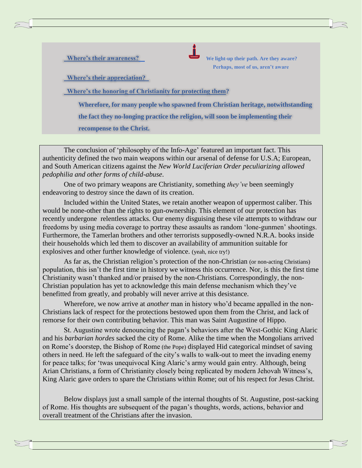**Where's their awareness? Where's their awareness? We light-up their path. Are they aware? Perhaps, most of us, aren't aware**

**Where's their appreciation?** 

 **Where's the honoring of Christianity for protecting them?** 

 **Wherefore, for many people who spawned from Christian heritage, notwithstanding the fact they no-longing practice the religion, will soon be implementing their recompense to the Christ.**

The conclusion of 'philosophy of the Info-Age' featured an important fact. This authenticity defined the two main weapons within our arsenal of defense for U.S.A; European, and South American citizens against the *New World Luciferian Order peculiarizing allowed pedophilia and other forms of child-abuse*.

One of two primary weapons are Christianity, something *they've* been seemingly endeavoring to destroy since the dawn of its creation.

Included within the United States, we retain another weapon of uppermost caliber. This would be none-other than the rights to gun-ownership. This element of our protection has recently undergone relentless attacks. Our enemy disguising these vile attempts to withdraw our freedoms by using media coverage to portray these assaults as random 'lone-gunmen' shootings. Furthermore, the Tamerlan brothers and other terrorists supposedly-owned N.R.A. books inside their households which led them to discover an availability of ammunition suitable for explosives and other further knowledge of violence. (yeah, nice try!)

As far as, the Christian religion's protection of the non-Christian (or non-acting Christians) population, this isn't the first time in history we witness this occurrence. Nor, is this the first time Christianity wasn't thanked and/or praised by the non-Christians. Correspondingly, the non-Christian population has yet to acknowledge this main defense mechanism which they've benefitted from greatly, and probably will never arrive at this desistance.

Wherefore, we now arrive at *another* man in history who'd became appalled in the non-Christians lack of respect for the protections bestowed upon them from the Christ, and lack of remorse for their own contributing behavior. This man was Saint Augustine of Hippo.

St. Augustine wrote denouncing the pagan's behaviors after the West-Gothic King Alaric and his *barbarian hordes* sacked the city of Rome. Alike the time when the Mongolians arrived on Rome's doorstep, the Bishop of Rome (the Pope) displayed Hid categorical mindset of saving others in need. He left the safeguard of the city's walls to walk-out to meet the invading enemy for peace talks; for 'twas unequivocal King Alaric's army would gain entry. Although, being Arian Christians, a form of Christianity closely being replicated by modern Jehovah Witness's, King Alaric gave orders to spare the Christians within Rome; out of his respect for Jesus Christ.

Below displays just a small sample of the internal thoughts of St. Augustine, post-sacking of Rome. His thoughts are subsequent of the pagan's thoughts, words, actions, behavior and overall treatment of the Christians after the invasion.